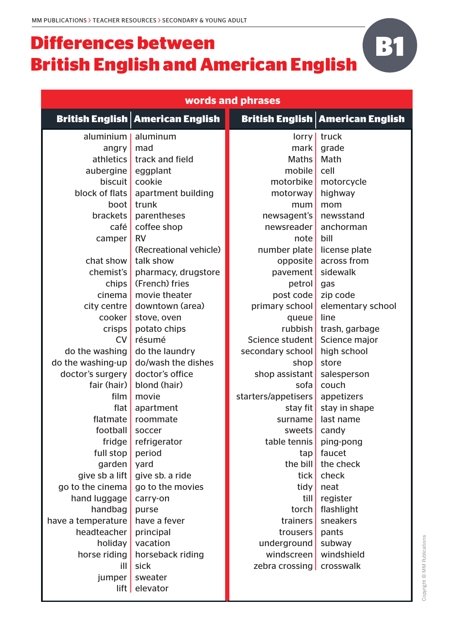## **Differences between British English and American English**

| words and phrases      |                                           |                            |                                           |  |  |  |  |
|------------------------|-------------------------------------------|----------------------------|-------------------------------------------|--|--|--|--|
|                        | <b>British English   American English</b> |                            | <b>British English   American English</b> |  |  |  |  |
| aluminium              | aluminum                                  | $l$ orry                   | truck                                     |  |  |  |  |
| angry                  | mad                                       | mark                       | grade                                     |  |  |  |  |
| athletics              | track and field                           | <b>Maths</b>               | Math                                      |  |  |  |  |
| aubergine              | eggplant                                  | mobile                     | cell                                      |  |  |  |  |
| biscuit                | cookie                                    | motorbike                  | motorcycle                                |  |  |  |  |
| block of flats         | apartment building                        | motorway                   | highway                                   |  |  |  |  |
| boot                   | trunk                                     | mum                        | mom                                       |  |  |  |  |
| <b>brackets</b>        | parentheses                               | newsagent's                | newsstand                                 |  |  |  |  |
| café                   | coffee shop                               | newsreader                 | anchorman                                 |  |  |  |  |
| camper                 | <b>RV</b>                                 | note                       | bill                                      |  |  |  |  |
|                        | (Recreational vehicle)                    | number plate license plate |                                           |  |  |  |  |
| chat show              | talk show                                 | opposite                   | across from                               |  |  |  |  |
| chemist's              | pharmacy, drugstore                       | pavement                   | sidewalk                                  |  |  |  |  |
| chips                  | (French) fries                            | petrol                     | gas                                       |  |  |  |  |
| cinema                 | movie theater                             | post code                  | zip code                                  |  |  |  |  |
| $city$ centre          | downtown (area)                           | primary school             | elementary school                         |  |  |  |  |
| cooker                 | stove, oven                               | queue                      | line                                      |  |  |  |  |
| crisps                 | potato chips                              | rubbish                    | trash, garbage                            |  |  |  |  |
| <b>CV</b>              | résumé                                    | Science student            | Science major                             |  |  |  |  |
| do the washing         | do the laundry                            | secondary school           | high school                               |  |  |  |  |
| do the washing-up      | do/wash the dishes                        | shop                       | store                                     |  |  |  |  |
| doctor's surgery       | doctor's office                           | shop assistant             | salesperson                               |  |  |  |  |
| fair (hair)            | blond (hair)                              | sofa                       | couch                                     |  |  |  |  |
| film                   | movie                                     | starters/appetisers        | appetizers                                |  |  |  |  |
| flat                   | apartment                                 | stay fit                   | stay in shape                             |  |  |  |  |
| flatmate               | roommate                                  | surname                    | last name                                 |  |  |  |  |
| football               | soccer                                    | sweets   candy             |                                           |  |  |  |  |
| fridge                 | refrigerator                              | table tennis               | ping-pong                                 |  |  |  |  |
| full stop              | period                                    | tan                        | faucet                                    |  |  |  |  |
| garden                 | yard                                      | the bill                   | the check                                 |  |  |  |  |
| give sb a lift $\vert$ | give sb. a ride                           | tick                       | check                                     |  |  |  |  |
| go to the cinema       | go to the movies                          | tidy                       | neat                                      |  |  |  |  |
| hand luggage           | carry-on                                  | till                       | register                                  |  |  |  |  |
| handbag                | purse                                     | torch                      | flashlight                                |  |  |  |  |
| have a temperature     | have a fever                              | trainers                   | sneakers                                  |  |  |  |  |
| headteacher            | principal                                 | trousers                   | pants                                     |  |  |  |  |
| holiday                | vacation                                  | underground                | subway                                    |  |  |  |  |
| horse riding           | horseback riding                          | windscreen                 | windshield                                |  |  |  |  |
| $\mathsf{ill}$         | sick                                      | zebra crossing   crosswalk |                                           |  |  |  |  |
| jumper                 | sweater                                   |                            |                                           |  |  |  |  |
|                        | $\left  \right $ elevator                 |                            |                                           |  |  |  |  |

**B1**